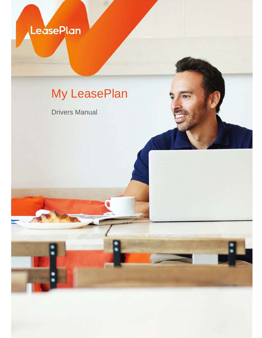LeasePlan

# My LeasePlan

Drivers Manual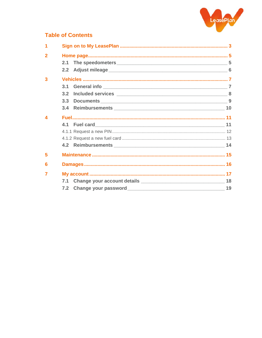

#### **Table of Contents**

| $\overline{2}$         |     |  |
|------------------------|-----|--|
|                        |     |  |
|                        |     |  |
| $\overline{3}$         |     |  |
|                        | 3.1 |  |
|                        | 3.2 |  |
|                        | 3.3 |  |
|                        |     |  |
| $\boldsymbol{\Lambda}$ |     |  |
|                        |     |  |
|                        |     |  |
|                        |     |  |
|                        |     |  |
| 5                      |     |  |
| 6                      |     |  |
| 7                      |     |  |
|                        |     |  |
|                        |     |  |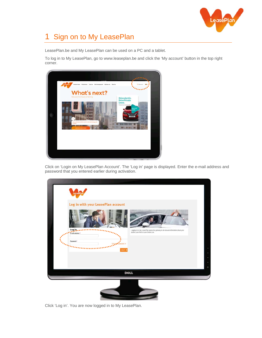

# 1 Sign on to My LeasePlan

LeasePlan.be and My LeasePlan can be used on a PC and a tablet.

To log in to My LeasePlan, go to www.leaseplan.be and click the 'My account' button in the top right corner.



Click on 'Login on My LeasePlan Account'. The 'Log in' page is displayed. Enter the e-mail address and password that you entered earlier during activation.



Click 'Log in'. You are now logged in to My LeasePlan.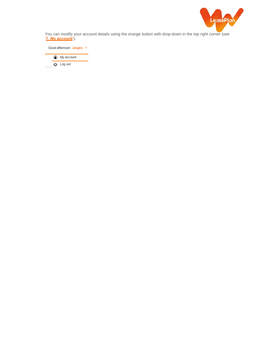

You can modify your account details using the orange button with drop-down in the top right corner (see '**7. My account**').

Good afternoon Jurgen v <sup>1</sup> My account **む** Log out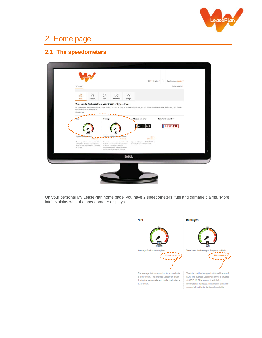

## 2 Home page

#### **2.1 The speedometers**

| My vehicle                                    |                                                                                                                                                                   |                |                                                                                                                                                                                                                                                                                         |                              |                                                                                                                                                                                     | Internet Quotations                       |
|-----------------------------------------------|-------------------------------------------------------------------------------------------------------------------------------------------------------------------|----------------|-----------------------------------------------------------------------------------------------------------------------------------------------------------------------------------------------------------------------------------------------------------------------------------------|------------------------------|-------------------------------------------------------------------------------------------------------------------------------------------------------------------------------------|-------------------------------------------|
| ⋒<br>Hotte                                    | $\bigcirc$<br>Vehicle                                                                                                                                             | FN<br>Fuel     | $\propto$<br>Maintenance                                                                                                                                                                                                                                                                | <b>tex</b><br><b>Damagos</b> |                                                                                                                                                                                     |                                           |
| Enjoy the ride!                               | Welcome to My LeasePlan, your trustworthy co-driver<br>have the wheel firmly in your hands.                                                                       |                |                                                                                                                                                                                                                                                                                         |                              | My LeasePlan will guide you through every step in the lifecycle of your company car. You not only get an insight in your car and the contract, it allows you to manage your car and |                                           |
| $\mathbf{r}$<br><b>SERVATOR</b>               |                                                                                                                                                                   | <b>Damages</b> |                                                                                                                                                                                                                                                                                         | <b>Last known mileage</b>    | 046950                                                                                                                                                                              | <b>Registration number</b><br>$1-RSC-298$ |
| <b><i>State And Address</i></b><br>3.2 #100ml | <br>Show less +<br>The average fuel consumption for your vehicle.<br>Is 0.0 K100km. The average LeasePlan (three)<br>ching the same make and model is situated at |                | Total cost in dampers for section in a<br>The total bost in damages for this vehicle was D<br>EUR. The average LeasePlan pliver is situated<br>at 653 EUR. This amount is strictly for<br>international purposes. The amount takes into<br>account all incidents, liable and non-batre. | Show less +                  | Edd a<br>Show less +<br>Registered at filing status: 175027 DIEGEM an<br>Wednesday November 204 2017 at 9:11.                                                                       |                                           |
|                                               |                                                                                                                                                                   |                |                                                                                                                                                                                                                                                                                         | <b>DOLL</b>                  |                                                                                                                                                                                     |                                           |

On your personal My LeasePlan home page, you have 2 speedometers: fuel and damage claims. 'More info' explains what the speedometer displays.

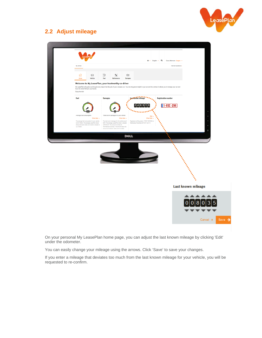

## **2.2 Adjust mileage**



On your personal My LeasePlan home page, you can adjust the last known mileage by clicking 'Edit' under the odometer.

You can easily change your mileage using the arrows. Click 'Save' to save your changes.

If you enter a mileage that deviates too much from the last known mileage for your vehicle, you will be requested to re-confirm.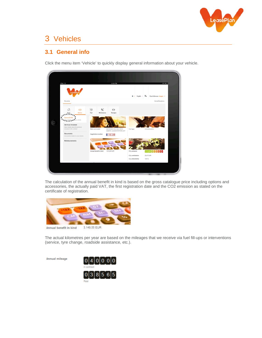

## 3 Vehicles

#### **3.1 General info**

Click the menu item 'Vehicle' to quickly display general information about your vehicle.



The calculation of the annual benefit in kind is based on the gross catalogue price including options and accessories, the actually paid VAT, the first registration date and the CO2 emission as stated on the certificate of registration.



The actual kilometres per year are based on the mileages that we receive via fuel fill-ups or interventions (service, tyre change, roadside assistance, etc.).

Annual mileage

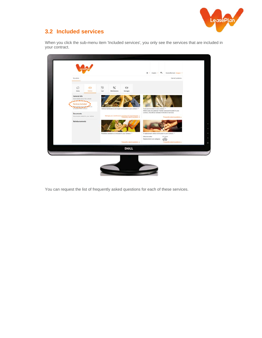

#### **3.2 Included services**

When you click the sub-menu item 'Included services', you only see the services that are included in your contract.



You can request the list of frequently asked questions for each of these services.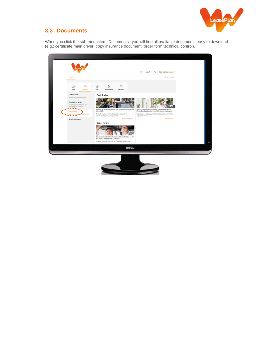

## **3.3 Documents**

When you click the sub-menu item 'Documents', you will find all available documents easy to download (e.g.: certificate main driver, copy insurance document, order form technical control).

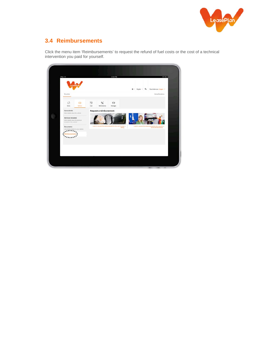

## **3.4 Reimbursements**

Click the menu item 'Reimbursements' to request the refund of fuel costs or the cost of a technical intervention you paid for yourself.

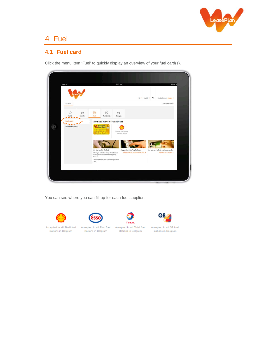

## 4 Fuel

#### **4.1 Fuel card**

Click the menu item 'Fuel' to quickly display an overview of your fuel card(s).



You can see where you can fill up for each fuel supplier.



stations in Belgium



Accepted in all Esso fuel stations in Belgium

TOTAL Accepted in all Total fuel stations in Belgium



Accepted in all Q8 fuel stations in Belgium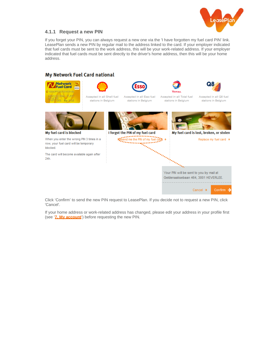

#### **4.1.1 Request a new PIN**

If you forget your PIN, you can always request a new one via the 'I have forgotten my fuel card PIN' link. LeasePlan sends a new PIN by regular mail to the address linked to the card. If your employer indicated that fuel cards must be sent to the work address, this will be your work-related address. If your employer indicated that fuel cards must be sent directly to the driver's home address, then this will be your home address.

#### My Network Fuel Card national



Accepted in all Shell fuel

stations in Belgium



Accepted in all Esso fuel

stations in Belgium



Accepted in all Total fuel

stations in Belgium



Accepted in all Q8 fuel stations in Belgium



My fuel card is blocked

When you enter the wrong PIN 3 times in a row, your fuel card will be temporary blocked.

The card will become available again after 24h



Geldenaaksebaan 464, 3001 HEVERLEE.

----------------------------

Confirm  $\rightarrow$ 

Cancel  $\rightarrow$ 

Click 'Confirm' to send the new PIN request to LeasePlan. If you decide not to request a new PIN, click 'Cancel'.

If your home address or work-related address has changed, please edit your address in your profile first (see '**7. My account**') before requesting the new PIN.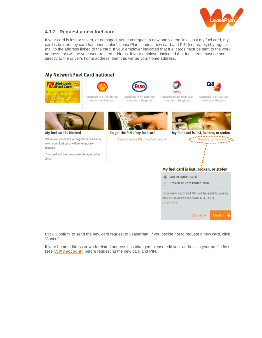

#### **4.1.2 Request a new fuel card**

If your card is lost or stolen, or damaged, you can request a new one via the link 'I lost my fuel card, my card is broken, my card has been stolen'. LeasePlan sends a new card and PIN (separately) by regular mail to the address linked to the card. If your employer indicated that fuel cards must be sent to the work address, this will be your work-related address. If your employer indicated that fuel cards must be sent directly to the driver's home address, then this will be your home address.

#### My Network Fuel Card national





Accepted in all Shell fuel

stations in Belgium



Accepted in all Esso fuel

stations in Belgium



Accepted in all Total fuel

stations in Belgium



Accepted in all Q8 fuel stations in Belgium



My fuel card is blocked

When you enter the wrong PIN 3 times in a row, your fuel card will be temporary blocked.

The card will become available again after  $24h$ 



I forgot the PIN of my fuel card



Cancel →

Confirm

Click 'Confirm' to send the new card request to LeasePlan. If you decide not to request a new card, click 'Cancel'.

If your home address or work-related address has changed, please edit your address in your profile first (see '**7. My account**') before requesting the new card and PIN.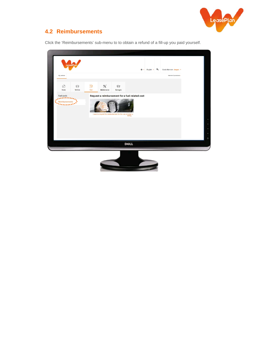

## **4.2 Reimbursements**

Click the 'Reimbursements' sub-menu to to obtain a refund of a fill-up you paid yourself.



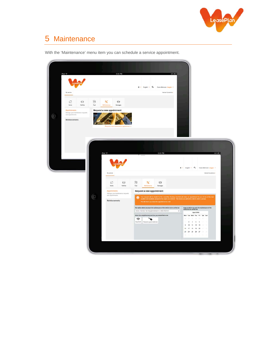

# 5 Maintenance

With the 'Maintenance' menu item you can schedule a service appointment.

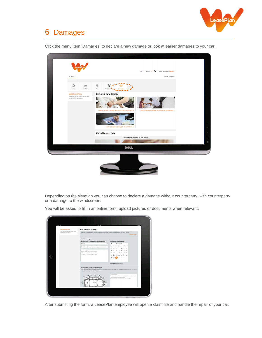

## 6 Damages

 $\frac{1}{2}$ 奋  $\bigcirc$  $\mathcal{H}$ Declare a new damage N É Claim file overview There are no claim files for this vehicle 窗 **DOLL** 

Click the menu item 'Damages' to declare a new damage or look at earlier damages to your car.

Depending on the situation you can choose to declare a damage without counterparty, with counterparty or a damage to the windscreen.

You will be asked to fill in an online form, upload pictures or documents when relevant.

| <b>Banzen</b> preniers                                              | Declare a new damage                                                                                                                                                                                                                             |                                   |                        |           |       |                                      |               |                                                                                                               |  |  |
|---------------------------------------------------------------------|--------------------------------------------------------------------------------------------------------------------------------------------------------------------------------------------------------------------------------------------------|-----------------------------------|------------------------|-----------|-------|--------------------------------------|---------------|---------------------------------------------------------------------------------------------------------------|--|--|
| Here you will find years details strong<br>darrage to your vehicle. | To decays a democr without a locaet counterparty, one disk the location where the democri took place, describe<br><b>HERE'S</b><br><b>CAN A CONTRACTOR</b><br>Similar man and con-                                                               |                                   |                        |           |       |                                      |               |                                                                                                               |  |  |
|                                                                     | About the damage                                                                                                                                                                                                                                 |                                   |                        |           |       |                                      |               |                                                                                                               |  |  |
|                                                                     | Description of the location where the damage took place *                                                                                                                                                                                        | Date when the damage took stars * |                        |           |       |                                      |               |                                                                                                               |  |  |
|                                                                     | <b>Detaure</b>                                                                                                                                                                                                                                   | v                                 | Ł                      |           |       | March 2016                           |               |                                                                                                               |  |  |
|                                                                     | Senati location by protat soda or lown hame.<br>$\sim$                                                                                                                                                                                           |                                   | $\rightarrow$          |           |       | Wed The Fit Sat San<br>-             | $\rightarrow$ |                                                                                                               |  |  |
|                                                                     | Spring programmed                                                                                                                                                                                                                                |                                   |                        |           |       |                                      | 45            | $-98$                                                                                                         |  |  |
|                                                                     | in freed of the frames located at Market 1.<br>In the parking hit of the super module                                                                                                                                                            |                                   | 12                     | <b>Y3</b> |       | $^{16}$                              |               | $17 - 18$                                                                                                     |  |  |
|                                                                     | On the EAT1 of the simplice of Deed.                                                                                                                                                                                                             |                                   | $\Rightarrow$          | 20        | $-24$ | 22 23 24 25                          |               |                                                                                                               |  |  |
|                                                                     |                                                                                                                                                                                                                                                  |                                   | $26 - 27$              |           |       | <b>A ST RTS</b>                      |               |                                                                                                               |  |  |
|                                                                     |                                                                                                                                                                                                                                                  |                                   |                        |           |       | Allia Chical Dick                    |               |                                                                                                               |  |  |
|                                                                     | Selected dute Vision 209-2012                                                                                                                                                                                                                    |                                   |                        |           |       |                                      |               |                                                                                                               |  |  |
|                                                                     |                                                                                                                                                                                                                                                  |                                   |                        |           |       |                                      |               |                                                                                                               |  |  |
|                                                                     | Description of the dumpe caused to the vehicle."<br>Salest the cardial of the vehicle that got demoged. Use the red arms to indicate the first point of inspect, Optionals you can describe<br>the damage calcord to the vehicle in more detail. |                                   | <b>Santa contights</b> |           |       | The left cutants were a sectoral and |               | The track of the sehicle area derme white dimmy backgards.<br>The passingers and get planed with but college. |  |  |

After submitting the form, a LeasePlan employee will open a claim file and handle the repair of your car.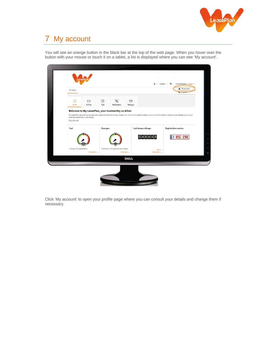

# 7 My account

You will see an orange button in the black bar at the top of the web page. When you hover over the button with your mouse or touch it on a tablet, a list is displayed where you can see 'My account'.



Click 'My account' to open your profile page where you can consult your details and change them if necessary.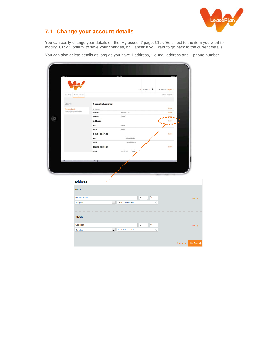

## **7.1 Change your account details**

You can easily change your details on the 'My account' page. Click 'Edit' next to the item you want to modify. Click 'Confirm' to save your changes, or 'Cancel' if you want to go back to the current details.

You can also delete details as long as you have 1 address, 1 e-mail address and 1 phone number.

|   | Pad $\otimes$                              |                               | 5:43 PM        |                                                                                                                                                                                                                                | 44% 333                 |  |
|---|--------------------------------------------|-------------------------------|----------------|--------------------------------------------------------------------------------------------------------------------------------------------------------------------------------------------------------------------------------|-------------------------|--|
|   |                                            |                               |                | $0$ v English v $Q$                                                                                                                                                                                                            | Good afternoon Jurgen v |  |
|   | My vehicle<br>Jurgen's account             |                               |                |                                                                                                                                                                                                                                | Internet Quotations     |  |
|   | Security                                   | <b>General information</b>    |                |                                                                                                                                                                                                                                |                         |  |
|   | Personal data<br>Manage your personal data | Mr. Jurgen<br>Birth date      | March 1 * 1978 |                                                                                                                                                                                                                                | Edit +<br>Edt +         |  |
|   |                                            | Language                      | English        |                                                                                                                                                                                                                                | 読む                      |  |
| n |                                            | <b>Address</b>                |                |                                                                                                                                                                                                                                | Edit +                  |  |
|   |                                            | Work                          | Not set        |                                                                                                                                                                                                                                |                         |  |
|   |                                            | Private<br>E-mail address     | Not set        |                                                                                                                                                                                                                                | Edit +                  |  |
|   |                                            | <b>Work</b>                   |                | Service rate rate to the contract of the contract of the contract of the contract of the contract of the contract of the contract of the contract of the contract of the contract of the contract of the contract of the contr |                         |  |
|   |                                            | Private                       |                |                                                                                                                                                                                                                                |                         |  |
|   |                                            | <b>Phone number</b><br>Mobile | $+32.495.26$   |                                                                                                                                                                                                                                | Edit +                  |  |
|   |                                            |                               |                |                                                                                                                                                                                                                                |                         |  |
|   |                                            |                               |                |                                                                                                                                                                                                                                |                         |  |
|   |                                            |                               |                |                                                                                                                                                                                                                                |                         |  |
|   |                                            | <b>SERVICE CONTROL</b>        |                |                                                                                                                                                                                                                                |                         |  |

| <b>Address</b>                                       |                       |                                   |
|------------------------------------------------------|-----------------------|-----------------------------------|
| <b>Work</b>                                          |                       |                                   |
| Excelsiorlaan                                        | Box<br>8              | Clear $\Rightarrow$               |
| 1930 ZAVENTEM<br>Belgium<br>۰                        |                       |                                   |
| <b>Private</b>                                       |                       |                                   |
| Gasdreef                                             | Box<br>$\overline{2}$ | Clear $\rightarrow$               |
| 9230 WETTEREN<br>$\overline{\phantom{a}}$<br>Belgium |                       |                                   |
|                                                      |                       |                                   |
|                                                      |                       | Confirm $\rightarrow$<br>Cancel * |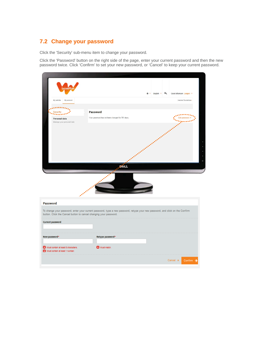## **7.2 Change your password**

Click the 'Security' sub-menu item to change your password.

Click the 'Password' button on the right side of the page, enter your current password and then the new password twice. Click 'Confirm' to set your new password, or 'Cancel' to keep your current password.

|                                                                          |                                                                                                                               | ☆ v English v Q<br>Good afternoon Jurgen            |         |
|--------------------------------------------------------------------------|-------------------------------------------------------------------------------------------------------------------------------|-----------------------------------------------------|---------|
| My vehicle<br>My account                                                 |                                                                                                                               | Internet Quotations>                                |         |
|                                                                          |                                                                                                                               |                                                     |         |
| <b>Security</b>                                                          | <b>Password</b>                                                                                                               |                                                     |         |
| Personal data<br>Manage your personal data                               | Your password has not been changed for 701 days.                                                                              |                                                     |         |
|                                                                          |                                                                                                                               |                                                     |         |
|                                                                          |                                                                                                                               | APPROXIMATION ASSESSMENT PROPERTY AND INCORPORATION |         |
|                                                                          |                                                                                                                               |                                                     |         |
|                                                                          |                                                                                                                               |                                                     |         |
|                                                                          |                                                                                                                               |                                                     |         |
|                                                                          |                                                                                                                               |                                                     | $\circ$ |
|                                                                          | <b>DeLL</b>                                                                                                                   |                                                     |         |
|                                                                          |                                                                                                                               |                                                     |         |
|                                                                          | <b>IRABBARA</b>                                                                                                               |                                                     |         |
| <b>Password</b>                                                          |                                                                                                                               |                                                     |         |
| button. Click the Cancel button to cancel changing your password.        | To change your password, enter your current password, type a new password, retype your new password, and click on the Confirm |                                                     |         |
| <b>Current password</b>                                                  |                                                                                                                               |                                                     |         |
| New password*                                                            | Retype password*                                                                                                              |                                                     |         |
| X Must contain at least 8 characters.<br>Must contain at least 1 number. | <b>3</b> Must match.                                                                                                          |                                                     |         |
|                                                                          |                                                                                                                               | Cancel *<br>Confirm $\rightarrow$                   |         |
|                                                                          |                                                                                                                               |                                                     |         |